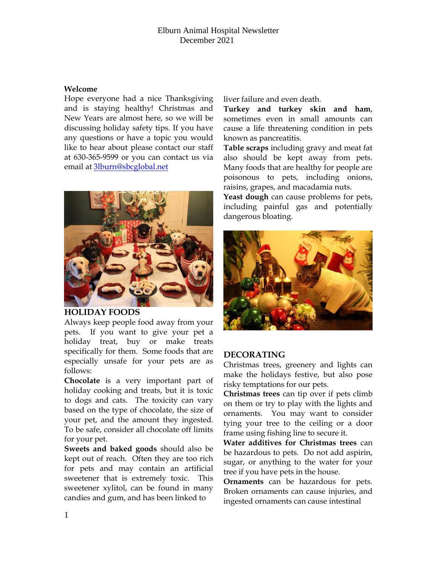## Elburn Animal Hospital Newsletter December 2021

#### **Welcome**

Hope everyone had a nice Thanksgiving and is staying healthy! Christmas and New Years are almost here, so we will be discussing holiday safety tips. If you have any questions or have a topic you would like to hear about please contact our staff at 630-365-9599 or you can contact us via email at [3lburn@sbcglobal.net](mailto:3lburn@sbcglobal.net) 



### **HOLIDAY FOODS**

Always keep people food away from your pets. If you want to give your pet a holiday treat, buy or make treats specifically for them. Some foods that are especially unsafe for your pets are as follows:

**Chocolate** is a very important part of holiday cooking and treats, but it is toxic to dogs and cats. The toxicity can vary based on the type of chocolate, the size of your pet, and the amount they ingested. To be safe, consider all chocolate off limits for your pet.

**Sweets and baked goods** should also be kept out of reach. Often they are too rich for pets and may contain an artificial sweetener that is extremely toxic. This sweetener xylitol, can be found in many candies and gum, and has been linked to

liver failure and even death.

**Turkey and turkey skin and ham**, sometimes even in small amounts can cause a life threatening condition in pets known as pancreatitis.

**Table scraps** including gravy and meat fat also should be kept away from pets. Many foods that are healthy for people are poisonous to pets, including onions, raisins, grapes, and macadamia nuts.

**Yeast dough** can cause problems for pets, including painful gas and potentially dangerous bloating.



# **DECORATING**

Christmas trees, greenery and lights can make the holidays festive, but also pose risky temptations for our pets.

**Christmas trees** can tip over if pets climb on them or try to play with the lights and ornaments. You may want to consider tying your tree to the ceiling or a door frame using fishing line to secure it.

**Water additives for Christmas trees** can be hazardous to pets. Do not add aspirin, sugar, or anything to the water for your tree if you have pets in the house.

**Ornaments** can be hazardous for pets. Broken ornaments can cause injuries, and ingested ornaments can cause intestinal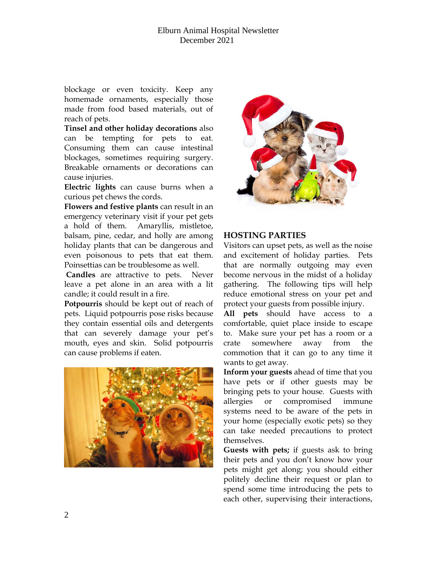blockage or even toxicity. Keep any homemade ornaments, especially those made from food based materials, out of reach of pets.

**Tinsel and other holiday decorations** also can be tempting for pets to eat. Consuming them can cause intestinal blockages, sometimes requiring surgery. Breakable ornaments or decorations can cause injuries.

**Electric lights** can cause burns when a curious pet chews the cords.

**Flowers and festive plants** can result in an emergency veterinary visit if your pet gets a hold of them. Amaryllis, mistletoe, balsam, pine, cedar, and holly are among holiday plants that can be dangerous and even poisonous to pets that eat them. Poinsettias can be troublesome as well.

**Candles** are attractive to pets. Never leave a pet alone in an area with a lit candle; it could result in a fire.

**Potpourris** should be kept out of reach of pets. Liquid potpourris pose risks because they contain essential oils and detergents that can severely damage your pet's mouth, eyes and skin. Solid potpourris can cause problems if eaten.





# **HOSTING PARTIES**

Visitors can upset pets, as well as the noise and excitement of holiday parties. Pets that are normally outgoing may even become nervous in the midst of a holiday gathering. The following tips will help reduce emotional stress on your pet and protect your guests from possible injury.

**All pets** should have access to a comfortable, quiet place inside to escape to. Make sure your pet has a room or a crate somewhere away from the commotion that it can go to any time it wants to get away.

**Inform your guests** ahead of time that you have pets or if other guests may be bringing pets to your house. Guests with allergies or compromised immune systems need to be aware of the pets in your home (especially exotic pets) so they can take needed precautions to protect themselves.

**Guests with pets;** if guests ask to bring their pets and you don't know how your pets might get along; you should either politely decline their request or plan to spend some time introducing the pets to each other, supervising their interactions,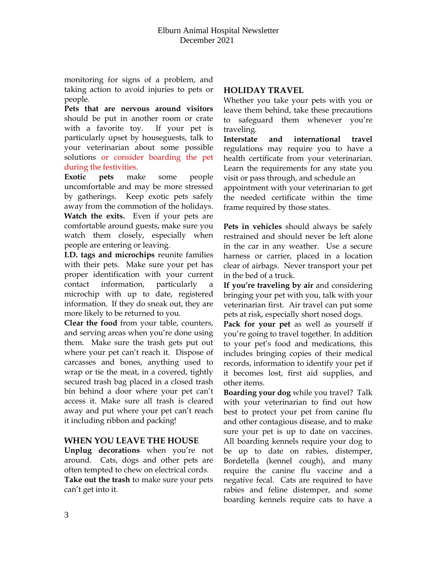monitoring for signs of a problem, and taking action to avoid injuries to pets or people.

**Pets that are nervous around visitors** should be put in another room or crate with a favorite toy. If your pet is particularly upset by houseguests, talk to your veterinarian about some possible solutions or consider boarding the pet during the festivities.

**Exotic pets** make some people uncomfortable and may be more stressed by gatherings. Keep exotic pets safely away from the commotion of the holidays. **Watch the exits.** Even if your pets are comfortable around guests, make sure you watch them closely, especially when people are entering or leaving.

**I.D. tags and microchips** reunite families with their pets. Make sure your pet has proper identification with your current contact information, particularly a microchip with up to date, registered information. If they do sneak out, they are more likely to be returned to you.

**Clear the food** from your table, counters, and serving areas when you're done using them. Make sure the trash gets put out where your pet can't reach it. Dispose of carcasses and bones, anything used to wrap or tie the meat, in a covered, tightly secured trash bag placed in a closed trash bin behind a door where your pet can't access it. Make sure all trash is cleared away and put where your pet can't reach it including ribbon and packing!

### **WHEN YOU LEAVE THE HOUSE**

**Unplug decorations** when you're not around. Cats, dogs and other pets are often tempted to chew on electrical cords. **Take out the trash** to make sure your pets can't get into it.

## **HOLIDAY TRAVEL**

Whether you take your pets with you or leave them behind, take these precautions to safeguard them whenever you're traveling.

**Interstate and international travel** regulations may require you to have a health certificate from your veterinarian. Learn the requirements for any state you visit or pass through, and schedule an appointment with your veterinarian to get the needed certificate within the time frame required by those states.

**Pets in vehicles** should always be safely restrained and should never be left alone in the car in any weather. Use a secure harness or carrier, placed in a location clear of airbags. Never transport your pet in the bed of a truck.

**If you're traveling by air** and considering bringing your pet with you, talk with your veterinarian first. Air travel can put some pets at risk, especially short nosed dogs.

**Pack for your pet** as well as yourself if you're going to travel together. In addition to your pet's food and medications, this includes bringing copies of their medical records, information to identify your pet if it becomes lost, first aid supplies, and other items.

**Boarding your dog** while you travel? Talk with your veterinarian to find out how best to protect your pet from canine flu and other contagious disease, and to make sure your pet is up to date on vaccines. All boarding kennels require your dog to be up to date on rabies, distemper, Bordetella (kennel cough), and many require the canine flu vaccine and a negative fecal. Cats are required to have rabies and feline distemper, and some boarding kennels require cats to have a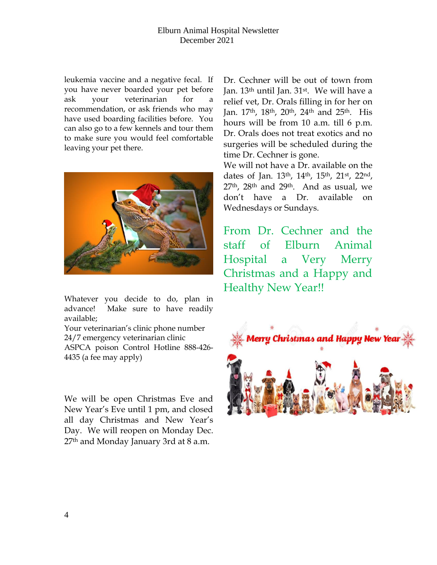## Elburn Animal Hospital Newsletter December 2021

leukemia vaccine and a negative fecal. If you have never boarded your pet before ask your veterinarian for a recommendation, or ask friends who may have used boarding facilities before. You can also go to a few kennels and tour them to make sure you would feel comfortable leaving your pet there.



Whatever you decide to do, plan in advance! Make sure to have readily available;

Your veterinarian's clinic phone number 24/7 emergency veterinarian clinic ASPCA poison Control Hotline 888-426- 4435 (a fee may apply)

We will be open Christmas Eve and New Year's Eve until 1 pm, and closed all day Christmas and New Year's Day. We will reopen on Monday Dec. 27<sup>th</sup> and Monday January 3rd at 8 a.m.

Dr. Cechner will be out of town from Jan. 13th until Jan. 31st. We will have a relief vet, Dr. Orals filling in for her on Jan. 17th, 18th, 20th, 24th and 25th. His hours will be from 10 a.m. till 6 p.m. Dr. Orals does not treat exotics and no surgeries will be scheduled during the time Dr. Cechner is gone.

We will not have a Dr. available on the dates of Jan. 13th, 14th, 15th, 21st, 22nd, 27th, 28th and 29th. And as usual, we don't have a Dr. available on Wednesdays or Sundays.

From Dr. Cechner and the staff of Elburn Animal Hospital a Very Merry Christmas and a Happy and Healthy New Year!!